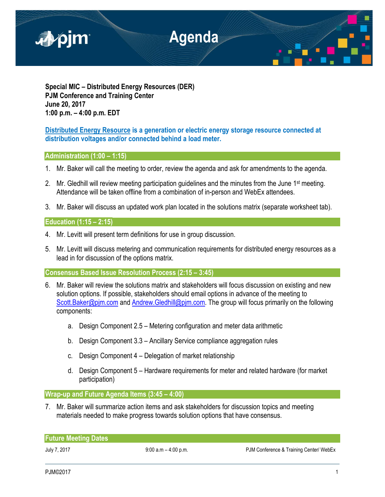

**Special MIC – Distributed Energy Resources (DER) PJM Conference and Training Center June 20, 2017 1:00 p.m. – 4:00 p.m. EDT**

**Distributed Energy Resource is a generation or electric energy storage resource connected at distribution voltages and/or connected behind a load meter.**

# **Administration (1:00 – 1:15)**

- 1. Mr. Baker will call the meeting to order, review the agenda and ask for amendments to the agenda.
- 2. Mr. Gledhill will review meeting participation guidelines and the minutes from the June 1<sup>st</sup> meeting. Attendance will be taken offline from a combination of in-person and WebEx attendees.
- 3. Mr. Baker will discuss an updated work plan located in the solutions matrix (separate worksheet tab).

# **Education (1:15 – 2:15)**

- 4. Mr. Levitt will present term definitions for use in group discussion.
- 5. Mr. Levitt will discuss metering and communication requirements for distributed energy resources as a lead in for discussion of the options matrix.

**Consensus Based Issue Resolution Process (2:15 – 3:45)**

- 6. Mr. Baker will review the solutions matrix and stakeholders will focus discussion on existing and new solution options. If possible, stakeholders should email options in advance of the meeting to [Scott.Baker@pjm.com](mailto:Scott.Baker@pjm.com) and [Andrew.Gledhill@pjm.com.](mailto:Andrew.Gledhill@pjm.com) The group will focus primarily on the following components:
	- a. Design Component 2.5 Metering configuration and meter data arithmetic
	- b. Design Component 3.3 Ancillary Service compliance aggregation rules
	- c. Design Component 4 Delegation of market relationship
	- d. Design Component 5 Hardware requirements for meter and related hardware (for market participation)

**Wrap-up and Future Agenda Items (3:45 – 4:00)**

7. Mr. Baker will summarize action items and ask stakeholders for discussion topics and meeting materials needed to make progress towards solution options that have consensus.

| <b>Future Meeting Dates</b> |  |
|-----------------------------|--|
|-----------------------------|--|

July 7, 2017 **19:00 a.m – 4:00 p.m.** PJM Conference & Training Center/ WebEx